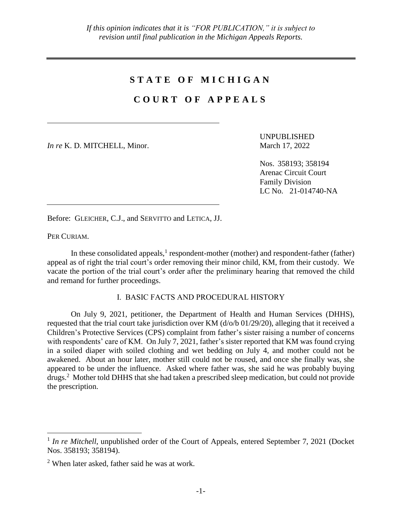## **S T A T E O F M I C H I G A N**

## **C O U R T O F A P P E A L S**

*In re* K. D. MITCHELL, Minor. March 17, 2022

UNPUBLISHED

Nos. 358193; 358194 Arenac Circuit Court Family Division LC No. 21-014740-NA

Before: GLEICHER, C.J., and SERVITTO and LETICA, JJ.

PER CURIAM.

 $\overline{a}$ 

In these consolidated appeals, $<sup>1</sup>$  respondent-mother (mother) and respondent-father (father)</sup> appeal as of right the trial court's order removing their minor child, KM, from their custody. We vacate the portion of the trial court's order after the preliminary hearing that removed the child and remand for further proceedings.

## I. BASIC FACTS AND PROCEDURAL HISTORY

On July 9, 2021, petitioner, the Department of Health and Human Services (DHHS), requested that the trial court take jurisdiction over KM (d/o/b 01/29/20), alleging that it received a Children's Protective Services (CPS) complaint from father's sister raising a number of concerns with respondents' care of KM. On July 7, 2021, father's sister reported that KM was found crying in a soiled diaper with soiled clothing and wet bedding on July 4, and mother could not be awakened. About an hour later, mother still could not be roused, and once she finally was, she appeared to be under the influence. Asked where father was, she said he was probably buying drugs.<sup>2</sup> Mother told DHHS that she had taken a prescribed sleep medication, but could not provide the prescription.

<sup>&</sup>lt;sup>1</sup> In re Mitchell, unpublished order of the Court of Appeals, entered September 7, 2021 (Docket Nos. 358193; 358194).

<sup>2</sup> When later asked, father said he was at work.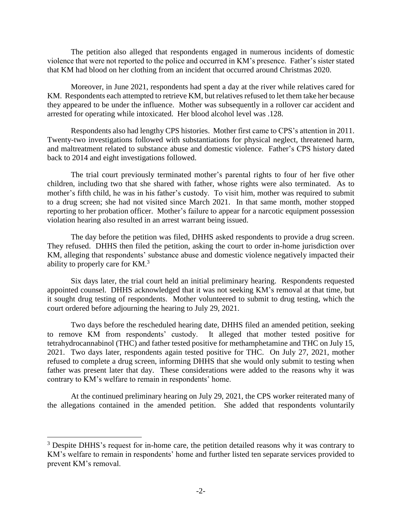The petition also alleged that respondents engaged in numerous incidents of domestic violence that were not reported to the police and occurred in KM's presence. Father's sister stated that KM had blood on her clothing from an incident that occurred around Christmas 2020.

Moreover, in June 2021, respondents had spent a day at the river while relatives cared for KM. Respondents each attempted to retrieve KM, but relatives refused to let them take her because they appeared to be under the influence. Mother was subsequently in a rollover car accident and arrested for operating while intoxicated. Her blood alcohol level was .128.

Respondents also had lengthy CPS histories. Mother first came to CPS's attention in 2011. Twenty-two investigations followed with substantiations for physical neglect, threatened harm, and maltreatment related to substance abuse and domestic violence. Father's CPS history dated back to 2014 and eight investigations followed.

The trial court previously terminated mother's parental rights to four of her five other children, including two that she shared with father, whose rights were also terminated. As to mother's fifth child, he was in his father's custody. To visit him, mother was required to submit to a drug screen; she had not visited since March 2021. In that same month, mother stopped reporting to her probation officer. Mother's failure to appear for a narcotic equipment possession violation hearing also resulted in an arrest warrant being issued.

The day before the petition was filed, DHHS asked respondents to provide a drug screen. They refused. DHHS then filed the petition, asking the court to order in-home jurisdiction over KM, alleging that respondents' substance abuse and domestic violence negatively impacted their ability to properly care for KM.<sup>3</sup>

Six days later, the trial court held an initial preliminary hearing. Respondents requested appointed counsel. DHHS acknowledged that it was not seeking KM's removal at that time, but it sought drug testing of respondents. Mother volunteered to submit to drug testing, which the court ordered before adjourning the hearing to July 29, 2021.

Two days before the rescheduled hearing date, DHHS filed an amended petition, seeking to remove KM from respondents' custody. It alleged that mother tested positive for tetrahydrocannabinol (THC) and father tested positive for methamphetamine and THC on July 15, 2021. Two days later, respondents again tested positive for THC. On July 27, 2021, mother refused to complete a drug screen, informing DHHS that she would only submit to testing when father was present later that day. These considerations were added to the reasons why it was contrary to KM's welfare to remain in respondents' home.

At the continued preliminary hearing on July 29, 2021, the CPS worker reiterated many of the allegations contained in the amended petition. She added that respondents voluntarily

<sup>&</sup>lt;sup>3</sup> Despite DHHS's request for in-home care, the petition detailed reasons why it was contrary to KM's welfare to remain in respondents' home and further listed ten separate services provided to prevent KM's removal.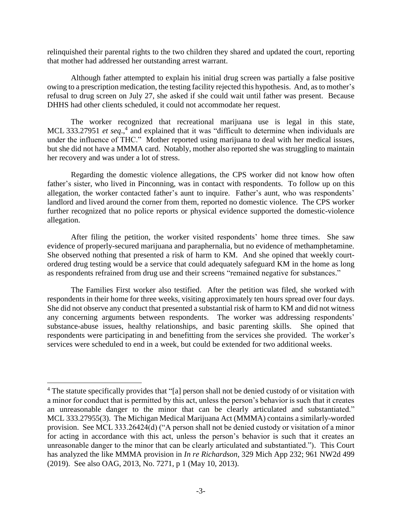relinquished their parental rights to the two children they shared and updated the court, reporting that mother had addressed her outstanding arrest warrant.

Although father attempted to explain his initial drug screen was partially a false positive owing to a prescription medication, the testing facility rejected this hypothesis. And, as to mother's refusal to drug screen on July 27, she asked if she could wait until father was present. Because DHHS had other clients scheduled, it could not accommodate her request.

The worker recognized that recreational marijuana use is legal in this state, MCL 333.27951 *et seq.*,<sup>4</sup> and explained that it was "difficult to determine when individuals are under the influence of THC." Mother reported using marijuana to deal with her medical issues, but she did not have a MMMA card. Notably, mother also reported she was struggling to maintain her recovery and was under a lot of stress.

Regarding the domestic violence allegations, the CPS worker did not know how often father's sister, who lived in Pinconning, was in contact with respondents. To follow up on this allegation, the worker contacted father's aunt to inquire. Father's aunt, who was respondents' landlord and lived around the corner from them, reported no domestic violence. The CPS worker further recognized that no police reports or physical evidence supported the domestic-violence allegation.

After filing the petition, the worker visited respondents' home three times. She saw evidence of properly-secured marijuana and paraphernalia, but no evidence of methamphetamine. She observed nothing that presented a risk of harm to KM. And she opined that weekly courtordered drug testing would be a service that could adequately safeguard KM in the home as long as respondents refrained from drug use and their screens "remained negative for substances."

The Families First worker also testified. After the petition was filed, she worked with respondents in their home for three weeks, visiting approximately ten hours spread over four days. She did not observe any conduct that presented a substantial risk of harm to KM and did not witness any concerning arguments between respondents. The worker was addressing respondents' substance-abuse issues, healthy relationships, and basic parenting skills. She opined that respondents were participating in and benefitting from the services she provided. The worker's services were scheduled to end in a week, but could be extended for two additional weeks.

<sup>&</sup>lt;sup>4</sup> The statute specifically provides that "[a] person shall not be denied custody of or visitation with a minor for conduct that is permitted by this act, unless the person's behavior is such that it creates an unreasonable danger to the minor that can be clearly articulated and substantiated." MCL 333.27955(3). The Michigan Medical Marijuana Act (MMMA) contains a similarly-worded provision. See MCL 333.26424(d) ("A person shall not be denied custody or visitation of a minor for acting in accordance with this act, unless the person's behavior is such that it creates an unreasonable danger to the minor that can be clearly articulated and substantiated."). This Court has analyzed the like MMMA provision in *In re Richardson*, 329 Mich App 232; 961 NW2d 499 (2019). See also OAG, 2013, No. 7271, p 1 (May 10, 2013).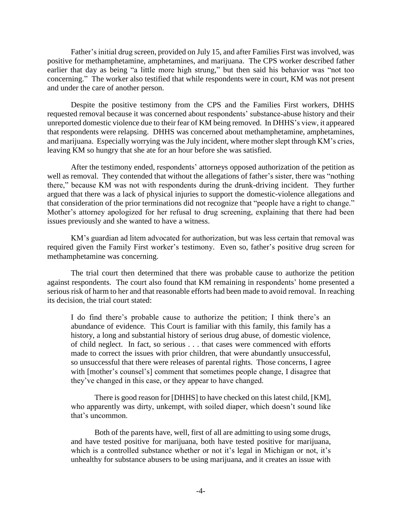Father's initial drug screen, provided on July 15, and after Families First was involved, was positive for methamphetamine, amphetamines, and marijuana. The CPS worker described father earlier that day as being "a little more high strung," but then said his behavior was "not too concerning." The worker also testified that while respondents were in court, KM was not present and under the care of another person.

Despite the positive testimony from the CPS and the Families First workers, DHHS requested removal because it was concerned about respondents' substance-abuse history and their unreported domestic violence due to their fear of KM being removed. In DHHS's view, it appeared that respondents were relapsing. DHHS was concerned about methamphetamine, amphetamines, and marijuana. Especially worrying was the July incident, where mother slept through KM's cries, leaving KM so hungry that she ate for an hour before she was satisfied.

After the testimony ended, respondents' attorneys opposed authorization of the petition as well as removal. They contended that without the allegations of father's sister, there was "nothing there," because KM was not with respondents during the drunk-driving incident. They further argued that there was a lack of physical injuries to support the domestic-violence allegations and that consideration of the prior terminations did not recognize that "people have a right to change." Mother's attorney apologized for her refusal to drug screening, explaining that there had been issues previously and she wanted to have a witness.

KM's guardian ad litem advocated for authorization, but was less certain that removal was required given the Family First worker's testimony. Even so, father's positive drug screen for methamphetamine was concerning.

The trial court then determined that there was probable cause to authorize the petition against respondents. The court also found that KM remaining in respondents' home presented a serious risk of harm to her and that reasonable efforts had been made to avoid removal. In reaching its decision, the trial court stated:

I do find there's probable cause to authorize the petition; I think there's an abundance of evidence. This Court is familiar with this family, this family has a history, a long and substantial history of serious drug abuse, of domestic violence, of child neglect. In fact, so serious . . . that cases were commenced with efforts made to correct the issues with prior children, that were abundantly unsuccessful, so unsuccessful that there were releases of parental rights. Those concerns, I agree with [mother's counsel's] comment that sometimes people change, I disagree that they've changed in this case, or they appear to have changed.

There is good reason for [DHHS] to have checked on this latest child, [KM], who apparently was dirty, unkempt, with soiled diaper, which doesn't sound like that's uncommon.

Both of the parents have, well, first of all are admitting to using some drugs, and have tested positive for marijuana, both have tested positive for marijuana, which is a controlled substance whether or not it's legal in Michigan or not, it's unhealthy for substance abusers to be using marijuana, and it creates an issue with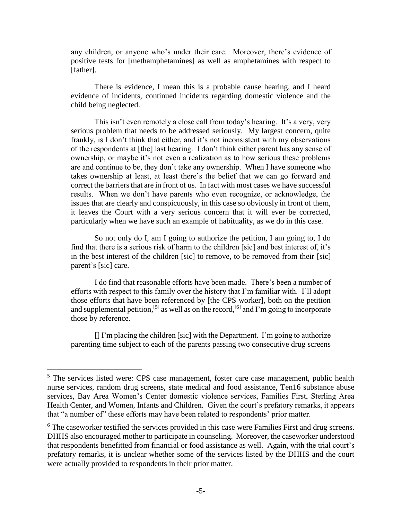any children, or anyone who's under their care. Moreover, there's evidence of positive tests for [methamphetamines] as well as amphetamines with respect to [father].

There is evidence, I mean this is a probable cause hearing, and I heard evidence of incidents, continued incidents regarding domestic violence and the child being neglected.

This isn't even remotely a close call from today's hearing. It's a very, very serious problem that needs to be addressed seriously. My largest concern, quite frankly, is I don't think that either, and it's not inconsistent with my observations of the respondents at [the] last hearing. I don't think either parent has any sense of ownership, or maybe it's not even a realization as to how serious these problems are and continue to be, they don't take any ownership. When I have someone who takes ownership at least, at least there's the belief that we can go forward and correct the barriers that are in front of us. In fact with most cases we have successful results. When we don't have parents who even recognize, or acknowledge, the issues that are clearly and conspicuously, in this case so obviously in front of them, it leaves the Court with a very serious concern that it will ever be corrected, particularly when we have such an example of habituality, as we do in this case.

So not only do I, am I going to authorize the petition, I am going to, I do find that there is a serious risk of harm to the children [sic] and best interest of, it's in the best interest of the children [sic] to remove, to be removed from their [sic] parent's [sic] care.

I do find that reasonable efforts have been made. There's been a number of efforts with respect to this family over the history that I'm familiar with. I'll adopt those efforts that have been referenced by [the CPS worker], both on the petition and supplemental petition,<sup>[5]</sup> as well as on the record,<sup>[6]</sup> and I'm going to incorporate those by reference.

[] I'm placing the children [sic] with the Department. I'm going to authorize parenting time subject to each of the parents passing two consecutive drug screens

<sup>&</sup>lt;sup>5</sup> The services listed were: CPS case management, foster care case management, public health nurse services, random drug screens, state medical and food assistance, Ten16 substance abuse services, Bay Area Women's Center domestic violence services, Families First, Sterling Area Health Center, and Women, Infants and Children. Given the court's prefatory remarks, it appears that "a number of" these efforts may have been related to respondents' prior matter.

<sup>&</sup>lt;sup>6</sup> The caseworker testified the services provided in this case were Families First and drug screens. DHHS also encouraged mother to participate in counseling. Moreover, the caseworker understood that respondents benefitted from financial or food assistance as well. Again, with the trial court's prefatory remarks, it is unclear whether some of the services listed by the DHHS and the court were actually provided to respondents in their prior matter.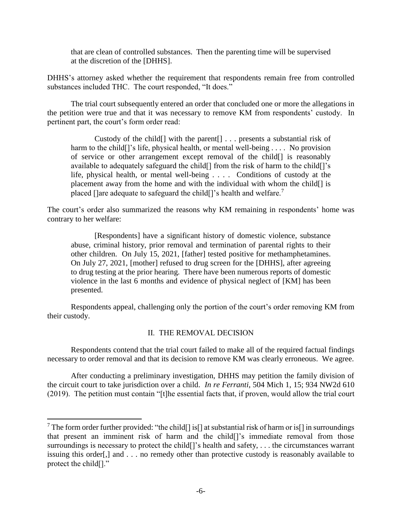that are clean of controlled substances. Then the parenting time will be supervised at the discretion of the [DHHS].

DHHS's attorney asked whether the requirement that respondents remain free from controlled substances included THC. The court responded, "It does."

The trial court subsequently entered an order that concluded one or more the allegations in the petition were true and that it was necessary to remove KM from respondents' custody. In pertinent part, the court's form order read:

Custody of the child[] with the parent[] . . . presents a substantial risk of harm to the child<sup>[]</sup>'s life, physical health, or mental well-being . . . . No provision of service or other arrangement except removal of the child[] is reasonably available to adequately safeguard the child[] from the risk of harm to the child[]'s life, physical health, or mental well-being . . . . Conditions of custody at the placement away from the home and with the individual with whom the child[] is placed []are adequate to safeguard the child[]'s health and welfare.<sup>7</sup>

The court's order also summarized the reasons why KM remaining in respondents' home was contrary to her welfare:

[Respondents] have a significant history of domestic violence, substance abuse, criminal history, prior removal and termination of parental rights to their other children. On July 15, 2021, [father] tested positive for methamphetamines. On July 27, 2021, [mother] refused to drug screen for the [DHHS], after agreeing to drug testing at the prior hearing. There have been numerous reports of domestic violence in the last 6 months and evidence of physical neglect of [KM] has been presented.

Respondents appeal, challenging only the portion of the court's order removing KM from their custody.

## II. THE REMOVAL DECISION

Respondents contend that the trial court failed to make all of the required factual findings necessary to order removal and that its decision to remove KM was clearly erroneous. We agree.

After conducting a preliminary investigation, DHHS may petition the family division of the circuit court to take jurisdiction over a child. *In re Ferranti*, 504 Mich 1, 15; 934 NW2d 610 (2019). The petition must contain "[t]he essential facts that, if proven, would allow the trial court

<sup>&</sup>lt;sup>7</sup> The form order further provided: "the child[] is[] at substantial risk of harm or is[] in surroundings that present an imminent risk of harm and the child[]'s immediate removal from those surroundings is necessary to protect the child<sup>[]</sup>'s health and safety, . . . the circumstances warrant issuing this order[,] and . . . no remedy other than protective custody is reasonably available to protect the child[]."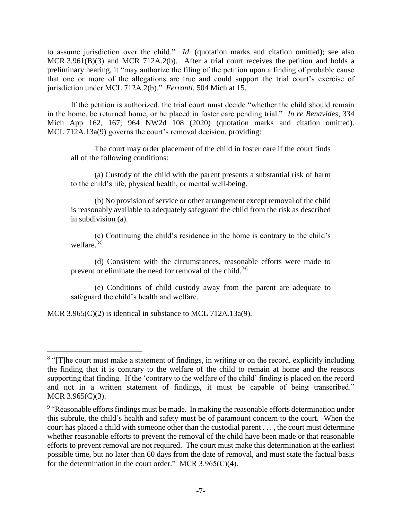to assume jurisdiction over the child." *Id*. (quotation marks and citation omitted); see also MCR 3.961(B)(3) and MCR 712A.2(b). After a trial court receives the petition and holds a preliminary hearing, it "may authorize the filing of the petition upon a finding of probable cause that one or more of the allegations are true and could support the trial court's exercise of jurisdiction under MCL 712A.2(b)." *Ferranti*, 504 Mich at 15.

If the petition is authorized, the trial court must decide "whether the child should remain in the home, be returned home, or be placed in foster care pending trial." *In re Benavides*, 334 Mich App 162, 167; 964 NW2d 108 (2020) (quotation marks and citation omitted). MCL 712A.13a(9) governs the court's removal decision, providing:

The court may order placement of the child in foster care if the court finds all of the following conditions:

(a) Custody of the child with the parent presents a substantial risk of harm to the child's life, physical health, or mental well-being.

(b) No provision of service or other arrangement except removal of the child is reasonably available to adequately safeguard the child from the risk as described in subdivision (a).

(c) Continuing the child's residence in the home is contrary to the child's welfare.[8]

(d) Consistent with the circumstances, reasonable efforts were made to prevent or eliminate the need for removal of the child.<sup>[9]</sup>

(e) Conditions of child custody away from the parent are adequate to safeguard the child's health and welfare.

MCR 3.965(C)(2) is identical in substance to MCL 712A.13a(9).

<sup>&</sup>lt;sup>8</sup> "[T]he court must make a statement of findings, in writing or on the record, explicitly including the finding that it is contrary to the welfare of the child to remain at home and the reasons supporting that finding. If the 'contrary to the welfare of the child' finding is placed on the record and not in a written statement of findings, it must be capable of being transcribed." MCR 3.965(C)(3).

<sup>&</sup>lt;sup>9</sup> "Reasonable efforts findings must be made. In making the reasonable efforts determination under this subrule, the child's health and safety must be of paramount concern to the court. When the court has placed a child with someone other than the custodial parent . . . , the court must determine whether reasonable efforts to prevent the removal of the child have been made or that reasonable efforts to prevent removal are not required. The court must make this determination at the earliest possible time, but no later than 60 days from the date of removal, and must state the factual basis for the determination in the court order." MCR 3.965(C)(4).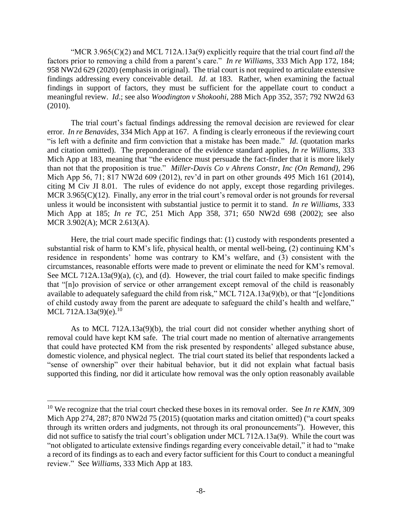"MCR 3.965(C)(2) and MCL 712A.13a(9) explicitly require that the trial court find *all* the factors prior to removing a child from a parent's care." *In re Williams*, 333 Mich App 172, 184; 958 NW2d 629 (2020) (emphasis in original). The trial court is not required to articulate extensive findings addressing every conceivable detail. *Id*. at 183. Rather, when examining the factual findings in support of factors, they must be sufficient for the appellate court to conduct a meaningful review. *Id*.; see also *Woodington v Shokoohi*, 288 Mich App 352, 357; 792 NW2d 63 (2010).

The trial court's factual findings addressing the removal decision are reviewed for clear error. *In re Benavides*, 334 Mich App at 167. A finding is clearly erroneous if the reviewing court "is left with a definite and firm conviction that a mistake has been made." *Id*. (quotation marks and citation omitted). The preponderance of the evidence standard applies, *In re Williams*, 333 Mich App at 183, meaning that "the evidence must persuade the fact-finder that it is more likely than not that the proposition is true." *Miller-Davis Co v Ahrens Constr, Inc (On Remand)*, 296 Mich App 56, 71; 817 NW2d 609 (2012), rev'd in part on other grounds 495 Mich 161 (2014), citing M Civ JI 8.01. The rules of evidence do not apply, except those regarding privileges. MCR 3.965(C)(12). Finally, any error in the trial court's removal order is not grounds for reversal unless it would be inconsistent with substantial justice to permit it to stand. *In re Williams*, 333 Mich App at 185; *In re TC*, 251 Mich App 358, 371; 650 NW2d 698 (2002); see also MCR 3.902(A); MCR 2.613(A).

Here, the trial court made specific findings that: (1) custody with respondents presented a substantial risk of harm to KM's life, physical health, or mental well-being, (2) continuing KM's residence in respondents' home was contrary to KM's welfare, and (3) consistent with the circumstances, reasonable efforts were made to prevent or eliminate the need for KM's removal. See MCL 712A.13a(9)(a), (c), and (d). However, the trial court failed to make specific findings that "[n]o provision of service or other arrangement except removal of the child is reasonably available to adequately safeguard the child from risk," MCL 712A.13a(9)(b), or that "[c]onditions of child custody away from the parent are adequate to safeguard the child's health and welfare," MCL 712A.13a(9)(e).<sup>10</sup>

As to MCL 712A.13a(9)(b), the trial court did not consider whether anything short of removal could have kept KM safe. The trial court made no mention of alternative arrangements that could have protected KM from the risk presented by respondents' alleged substance abuse, domestic violence, and physical neglect. The trial court stated its belief that respondents lacked a "sense of ownership" over their habitual behavior, but it did not explain what factual basis supported this finding, nor did it articulate how removal was the only option reasonably available

<sup>&</sup>lt;sup>10</sup> We recognize that the trial court checked these boxes in its removal order. See *In re KMN*, 309 Mich App 274, 287; 870 NW2d 75 (2015) (quotation marks and citation omitted) ("a court speaks through its written orders and judgments, not through its oral pronouncements"). However, this did not suffice to satisfy the trial court's obligation under MCL 712A.13a(9). While the court was "not obligated to articulate extensive findings regarding every conceivable detail," it had to "make a record of its findings as to each and every factor sufficient for this Court to conduct a meaningful review." See *Williams*, 333 Mich App at 183.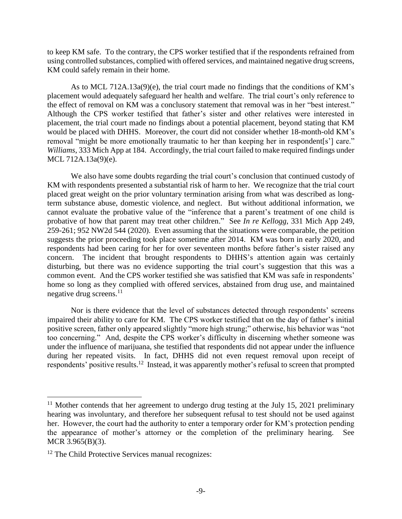to keep KM safe. To the contrary, the CPS worker testified that if the respondents refrained from using controlled substances, complied with offered services, and maintained negative drug screens, KM could safely remain in their home.

As to MCL 712A.13a(9)(e), the trial court made no findings that the conditions of KM's placement would adequately safeguard her health and welfare. The trial court's only reference to the effect of removal on KM was a conclusory statement that removal was in her "best interest." Although the CPS worker testified that father's sister and other relatives were interested in placement, the trial court made no findings about a potential placement, beyond stating that KM would be placed with DHHS. Moreover, the court did not consider whether 18-month-old KM's removal "might be more emotionally traumatic to her than keeping her in respondent[s'] care." *Williams*, 333 Mich App at 184. Accordingly, the trial court failed to make required findings under MCL 712A.13a(9)(e).

We also have some doubts regarding the trial court's conclusion that continued custody of KM with respondents presented a substantial risk of harm to her. We recognize that the trial court placed great weight on the prior voluntary termination arising from what was described as longterm substance abuse, domestic violence, and neglect. But without additional information, we cannot evaluate the probative value of the "inference that a parent's treatment of one child is probative of how that parent may treat other children." See *In re Kellogg*, 331 Mich App 249, 259-261; 952 NW2d 544 (2020). Even assuming that the situations were comparable, the petition suggests the prior proceeding took place sometime after 2014. KM was born in early 2020, and respondents had been caring for her for over seventeen months before father's sister raised any concern. The incident that brought respondents to DHHS's attention again was certainly disturbing, but there was no evidence supporting the trial court's suggestion that this was a common event. And the CPS worker testified she was satisfied that KM was safe in respondents' home so long as they complied with offered services, abstained from drug use, and maintained negative drug screens. 11

Nor is there evidence that the level of substances detected through respondents' screens impaired their ability to care for KM. The CPS worker testified that on the day of father's initial positive screen, father only appeared slightly "more high strung;" otherwise, his behavior was "not too concerning." And, despite the CPS worker's difficulty in discerning whether someone was under the influence of marijuana, she testified that respondents did not appear under the influence during her repeated visits. In fact, DHHS did not even request removal upon receipt of respondents' positive results.<sup>12</sup> Instead, it was apparently mother's refusal to screen that prompted

<sup>&</sup>lt;sup>11</sup> Mother contends that her agreement to undergo drug testing at the July 15, 2021 preliminary hearing was involuntary, and therefore her subsequent refusal to test should not be used against her. However, the court had the authority to enter a temporary order for KM's protection pending the appearance of mother's attorney or the completion of the preliminary hearing. See MCR 3.965(B)(3).

<sup>&</sup>lt;sup>12</sup> The Child Protective Services manual recognizes: